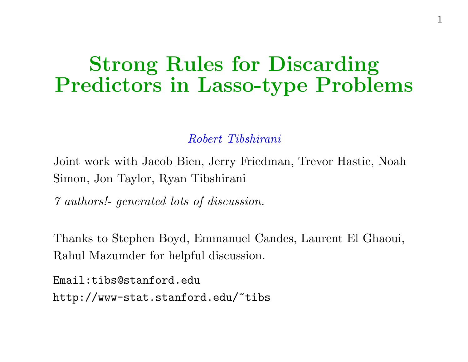### Strong Rules for Discarding Predictors in Lasso-type Problems

Robert Tibshirani

Joint work with Jacob Bien, Jerry Friedman, Trevor Hastie, Noah Simon, Jon Taylor, Ryan Tibshirani

7 authors!- generated lots of discussion.

Thanks to Stephen Boyd, Emmanuel Candes, Laurent El Ghaoui, Rahul Mazumder for helpful discussion.

Email:tibs@stanford.edu http://www-stat.stanford.edu/~tibs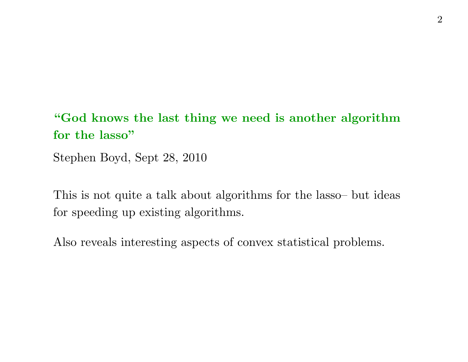#### "God knows the last thing we need is another algorithm for the lasso"

Stephen Boyd, Sept 28, 2010

This is not quite <sup>a</sup> talk about algorithms for the lasso– but ideas for speeding up existing algorithms.

Also reveals interesting aspects of convex statistical problems.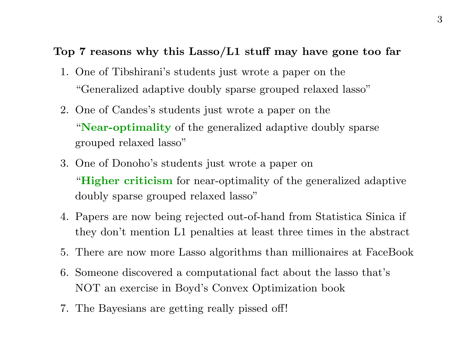#### Top <sup>7</sup> reasons why this Lasso/L1 stuff may have gone too far

- 1. One of Tibshirani's students just wrote a paper on the "Generalized adaptive doubly sparse grouped relaxed lasso"
- 2. One of Candes's students just wrote a paper on the "Near-optimality of the generalized adaptive doubly sparse grouped relaxed lasso"
- 3. One of Donoho's students just wrote a paper on "Higher criticism for near-optimality of the generalized adaptive doubly sparse grouped relaxed lasso"
- 4. Papers are now being rejected out-of-hand from Statistica Sinica if they don't mention L1 penalties at least three times in the abstract
- 5. There are now more Lasso algorithms than millionaires at FaceBook
- 6. Someone discovered <sup>a</sup> computational fact about the lasso that's NOT an exercise in Boyd's Convex Optimization book
- 7. The Bayesians are getting really pissed off!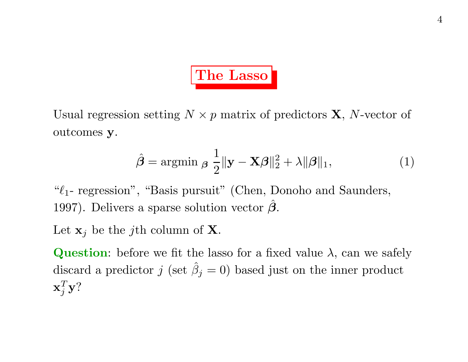# The Lasso

Usual regression setting  $N \times p$  matrix of predictors **X**, N-vector of outcomes y.

$$
\hat{\boldsymbol{\beta}} = \operatorname{argmin}_{\boldsymbol{\beta}} \frac{1}{2} \|\mathbf{y} - \mathbf{X}\boldsymbol{\beta}\|_2^2 + \lambda \|\boldsymbol{\beta}\|_1,\tag{1}
$$

" $\ell_1$ - regression", "Basis pursuit" (Chen, Donoho and Saunders, 1997). Delivers a sparse solution vector  $\hat{\boldsymbol{\beta}}$ .

Let  $\mathbf{x}_j$  be the j<sup>th</sup> column of **X**.

**Question:** before we fit the lasso for a fixed value  $\lambda$ , can we safely discard a predictor  $j$  (set  $\hat{\beta}_j = 0$ ) based just on the inner product  $\mathbf{x}_i^T \mathbf{y}$ ?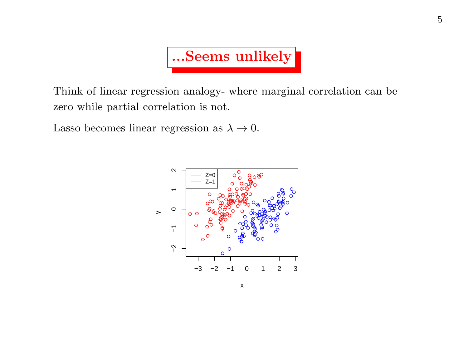

Think of linear regression analogy- where marginal correlation can be zero while partial correlation is not.

Lasso becomes linear regression as  $\lambda \to 0$ .

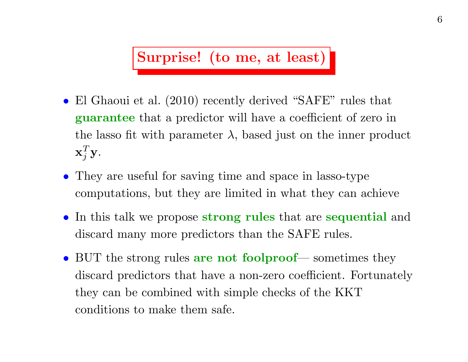Surprise! (to me, at least)

- El Ghaoui et al. (2010) recently derived "SAFE" rules that guarantee that a predictor will have a coefficient of zero in the lasso fit with parameter  $\lambda$ , based just on the inner product  $\mathbf{x}_i^T \mathbf{y}$ .
- They are useful for saving time and space in lasso-type computations, but they are limited in what they can achieve
- In this talk we propose strong rules that are sequential and discard many more predictors than the SAFE rules.
- BUT the strong rules are not foolproof— sometimes they discard predictors that have a non-zero coefficient. Fortunately they can be combined with simple checks of the KKT conditions to make them safe.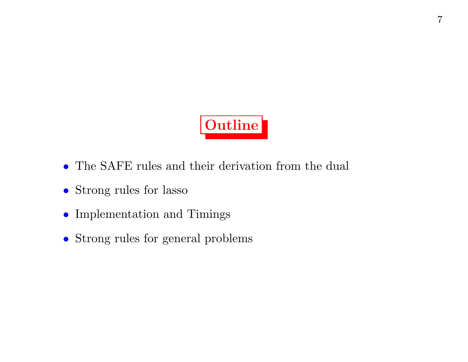

- The SAFE rules and their derivation from the dual
- Strong rules for lasso
- $\bullet\,$  Implementation and Timings
- Strong rules for general problems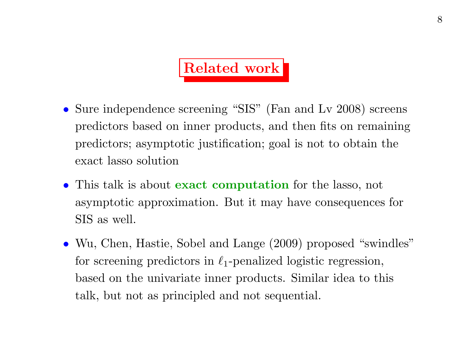## Related work

- Sure independence screening "SIS" (Fan and Ly 2008) screens predictors based on inner products, and then fits on remaining predictors; asymptotic justification; goal is not to obtain the exact lasso solution
- This talk is about **exact computation** for the lasso, not asymptotic approximation. But it may have consequences for SIS as well.
- Wu, Chen, Hastie, Sobel and Lange (2009) proposed "swindles" for screening predictors in  $\ell_1$ -penalized logistic regression, based on the univariate inner products. Similar idea to this talk, but not as principled and not sequential.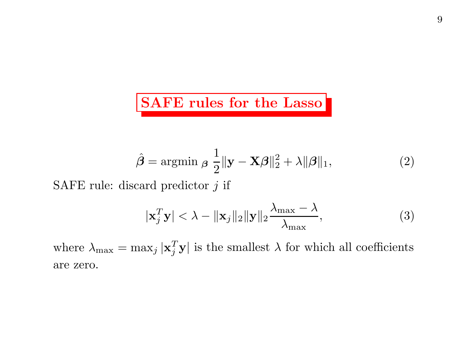#### SAFE rules for the Lasso

$$
\hat{\boldsymbol{\beta}} = \operatorname{argmin}_{\boldsymbol{\beta}} \frac{1}{2} \|\mathbf{y} - \mathbf{X}\boldsymbol{\beta}\|_2^2 + \lambda \|\boldsymbol{\beta}\|_1,\tag{2}
$$

SAFE rule: discard predictor  $j$  if

$$
|\mathbf{x}_j^T \mathbf{y}| < \lambda - ||\mathbf{x}_j||_2 ||\mathbf{y}||_2 \frac{\lambda_{\max} - \lambda}{\lambda_{\max}},
$$
 (3)

where  $\lambda_{\text{max}} = \max_j |\mathbf{x}_j^T \mathbf{y}|$  is the smallest  $\lambda$  for which all coefficients are zero.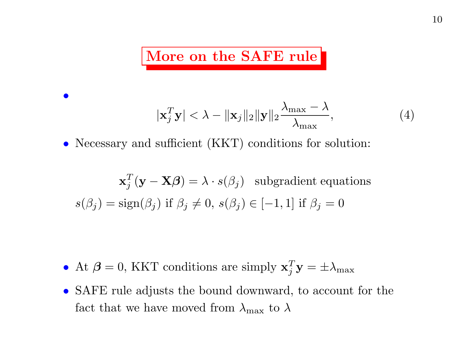#### More on the SAFE rule

$$
|\mathbf{x}_{j}^{T}\mathbf{y}| < \lambda - ||\mathbf{x}_{j}||_{2}||\mathbf{y}||_{2} \frac{\lambda_{\max} - \lambda}{\lambda_{\max}},
$$
\n(4)

• Necessary and sufficient (KKT) conditions for solution:

 $\bullet$ 

$$
\mathbf{x}_j^T(\mathbf{y} - \mathbf{X}\boldsymbol{\beta}) = \lambda \cdot s(\beta_j) \text{ subgradient equations}
$$

$$
s(\beta_j) = \text{sign}(\beta_j) \text{ if } \beta_j \neq 0, \ s(\beta_j) \in [-1, 1] \text{ if } \beta_j = 0
$$

- At  $\beta = 0$ , KKT conditions are simply  $\mathbf{x}_j^T \mathbf{y} = \pm \lambda_{\text{max}}$
- SAFE rule adjusts the bound downward, to account for the fact that we have moved from  $\lambda_{\text{max}}$  to  $\lambda$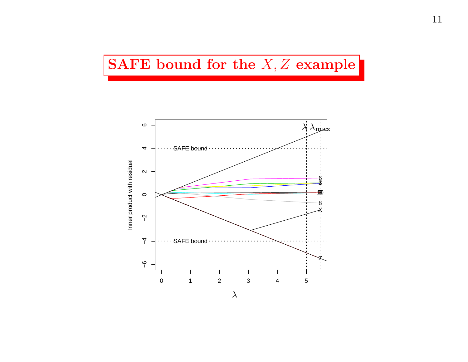#### SAFE bound for the  $X, Z$  example

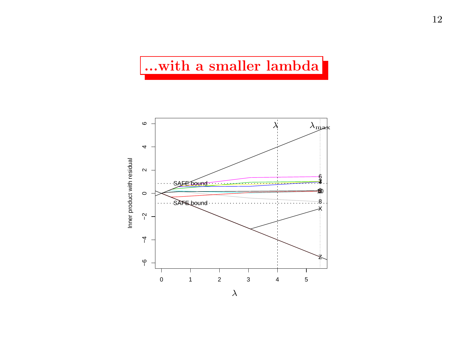#### ...with a smaller lambda

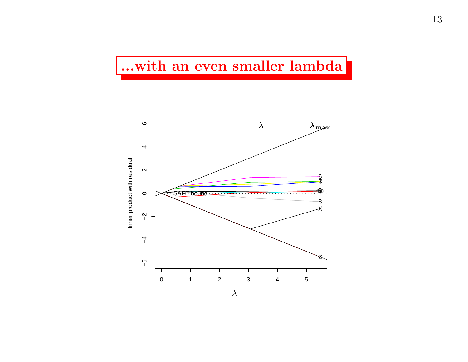#### ...with an even smaller lambda

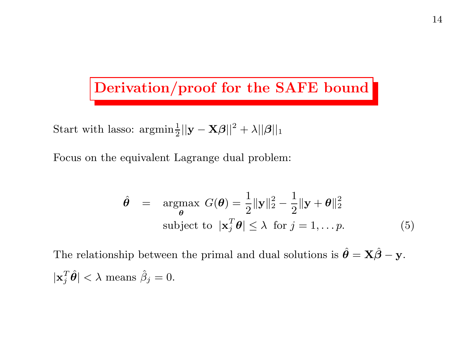### Derivation/proof for the SAFE bound

Start with lasso:  $\operatorname{argmin}_{\mathbb{E}} \frac{1}{2} ||\mathbf{y} - \mathbf{X}\boldsymbol{\beta}||^2 + \lambda ||\boldsymbol{\beta}||_1$ 

Focus on the equivalent Lagrange dual problem:

$$
\hat{\theta} = \underset{\theta}{\operatorname{argmax}} G(\theta) = \frac{1}{2} ||\mathbf{y}||_2^2 - \frac{1}{2} ||\mathbf{y} + \theta||_2^2
$$
  
subject to  $|\mathbf{x}_j^T \theta| \le \lambda$  for  $j = 1, \dots p$ . (5)

The relationship between the primal and dual solutions is  $\hat{\theta} = \mathbf{X}\hat{\beta} - \mathbf{y}$ .  $|\mathbf{x}_j^T \hat{\boldsymbol{\theta}}| < \lambda \text{ means } \hat{\beta}_j = 0.$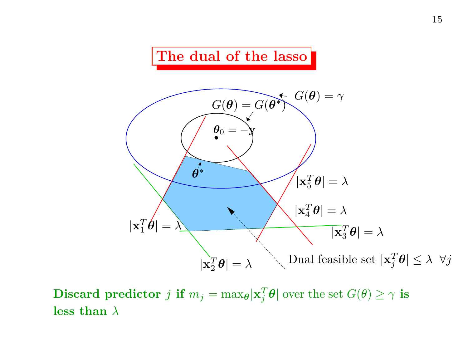### The dual of the lasso



Discard predictor j if  $m_j = \max_{\theta} |\mathbf{x}_j^T \theta|$  over the set  $G(\theta) \geq \gamma$  is less than  $\lambda$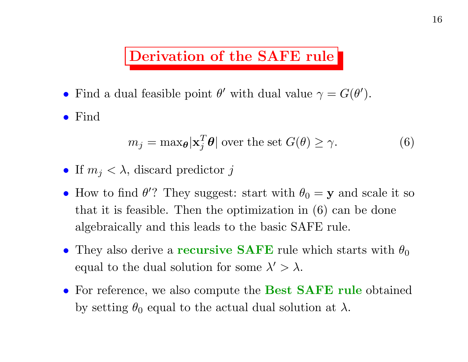#### Derivation of the SAFE rule

• Find a dual feasible point  $\theta'$  with dual value  $\gamma = G(\theta')$ .

• Find

$$
m_j = \max_{\theta} |\mathbf{x}_j^T \theta| \text{ over the set } G(\theta) \ge \gamma. \tag{6}
$$

- If  $m_j < \lambda$ , discard predictor j
- How to find  $\theta$ ? They suggest: start with  $\theta_0 = y$  and scale it so that it is feasible. Then the optimization in (6) can be done algebraically and this leads to the basic SAFE rule.
- They also derive a **recursive SAFE** rule which starts with  $\theta_0$ equal to the dual solution for some  $\lambda' > \lambda$ .
- For reference, we also compute the **Best SAFE rule** obtained by setting  $\theta_0$  equal to the actual dual solution at  $\lambda$ .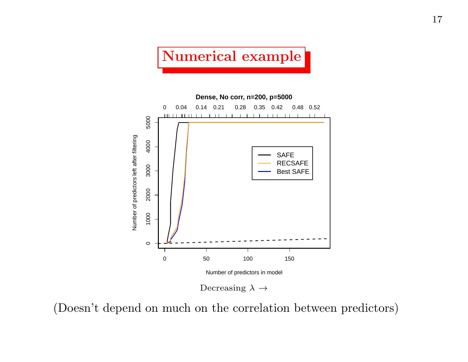## Numerical example



(Doesn't depend on much on the correlation between predictors)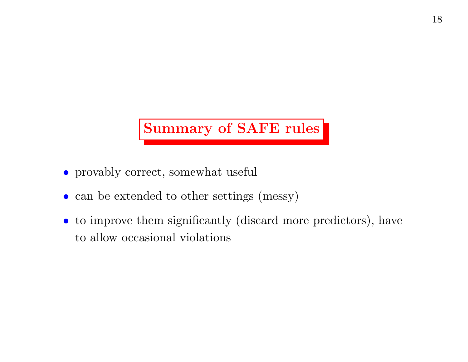## Summary of SAFE rules

- provably correct, somewhat useful
- can be extended to other settings (messy)
- to improve them significantly (discard more predictors), have to allow occasional violations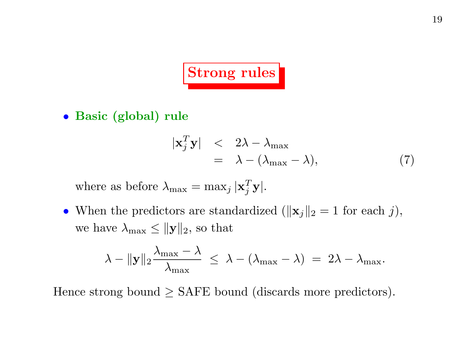# Strong rules

• Basic (global) rule

$$
\begin{array}{rcl}\n|\mathbf{x}_j^T \mathbf{y}| & < & 2\lambda - \lambda_{\text{max}} \\
& = & \lambda - (\lambda_{\text{max}} - \lambda),\n\end{array} \tag{7}
$$

where as before  $\lambda_{\text{max}} = \max_j |\mathbf{x}_j^T \mathbf{y}|.$ 

• When the predictors are standardized ( $\|\mathbf{x}_j\|_2 = 1$  for each j), we have  $\lambda_{\text{max}} \le ||\mathbf{y}||_2$ , so that

$$
\lambda - \|\mathbf{y}\|_2 \frac{\lambda_{\max} - \lambda}{\lambda_{\max}} \ \leq \ \lambda - (\lambda_{\max} - \lambda) \ = \ 2\lambda - \lambda_{\max}.
$$

Hence strong bound  $\geq$  SAFE bound (discards more predictors).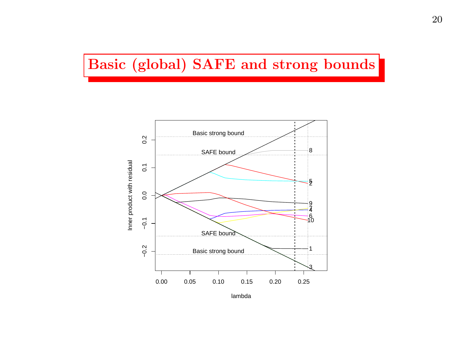#### Basic (global) SAFE and strong bounds

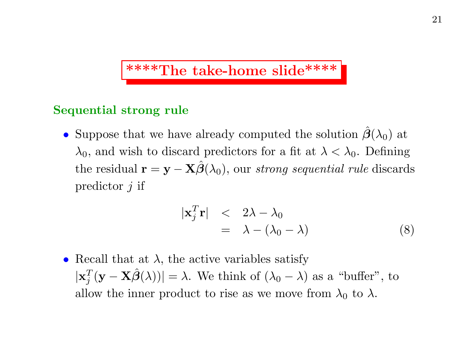#### \*\*\*\*The take-home slide\*\*\*\*

#### Sequential strong rule

• Suppose that we have already computed the solution  $\hat{\boldsymbol{\beta}}(\lambda_0)$  at  $\lambda_0$ , and wish to discard predictors for a fit at  $\lambda < \lambda_0$ . Defining the residual  $\mathbf{r} = \mathbf{y} - \mathbf{X}\hat{\boldsymbol{\beta}}(\lambda_0)$ , our strong sequential rule discards predictor  $j$  if

$$
\begin{array}{rcl}\n|\mathbf{x}_j^T \mathbf{r}| & < & 2\lambda - \lambda_0 \\
& = & \lambda - (\lambda_0 - \lambda)\n\end{array} \tag{8}
$$

• Recall that at  $\lambda$ , the active variables satisfy  $|\mathbf{x}_i^T (\mathbf{y} - \mathbf{X} \hat{\boldsymbol{\beta}}(\lambda))| = \lambda$ . We think of  $(\lambda_0 - \lambda)$  as a "buffer", to allow the inner product to rise as we move from  $\lambda_0$  to  $\lambda$ .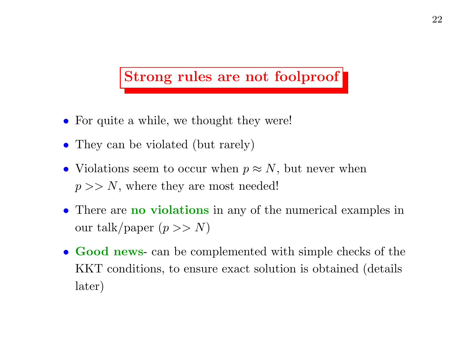#### Strong rules are not foolproof

- For quite a while, we thought they were!
- They can be violated (but rarely)
- Violations seem to occur when  $p \approx N$ , but never when  $p \gg N$ , where they are most needed!
- There are **no violations** in any of the numerical examples in our talk/paper  $(p >> N)$
- Good news- can be complemented with simple checks of the KKT conditions, to ensure exact solution is obtained (details later)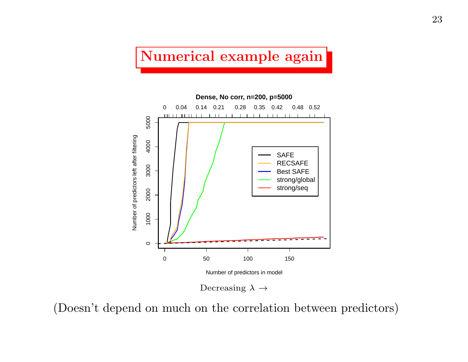#### Numerical example again



(Doesn't depend on much on the correlation between predictors)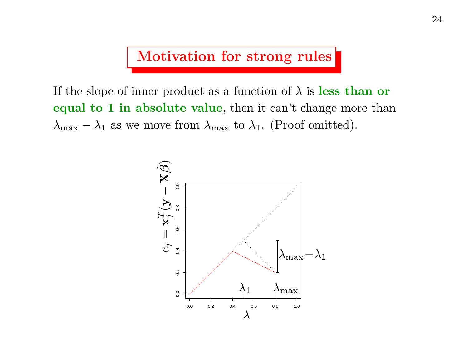Motivation for strong rules

If the slope of inner product as a function of  $\lambda$  is less than or equal to 1 in absolute value, then it can't change more than  $\lambda_{\text{max}} - \lambda_1$  as we move from  $\lambda_{\text{max}}$  to  $\lambda_1$ . (Proof omitted).

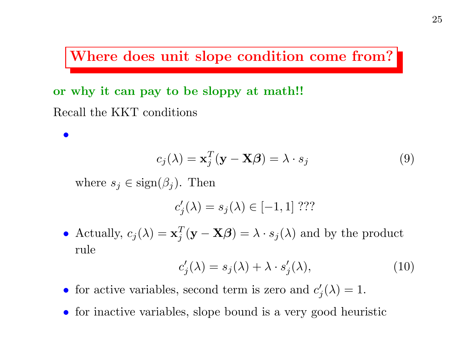Where does unit slope condition come from?

or why it can pay to be sloppy at math!! Recall the KKT conditions

$$
c_j(\lambda) = \mathbf{x}_j^T(\mathbf{y} - \mathbf{X}\boldsymbol{\beta}) = \lambda \cdot s_j \tag{9}
$$

where  $s_j \in \text{sign}(\beta_j)$ . Then

 $\bullet$ 

$$
c_j'(\lambda) = s_j(\lambda) \in [-1, 1]
$$
???

• Actually,  $c_j(\lambda) = \mathbf{x}_j^T (\mathbf{y} - \mathbf{X}\boldsymbol{\beta}) = \lambda \cdot s_j(\lambda)$  and by the product rule

$$
c_j'(\lambda) = s_j(\lambda) + \lambda \cdot s_j'(\lambda), \qquad (10)
$$

- for active variables, second term is zero and  $c'_{i}(\lambda) = 1$ .
- for inactive variables, slope bound is a very good heuristic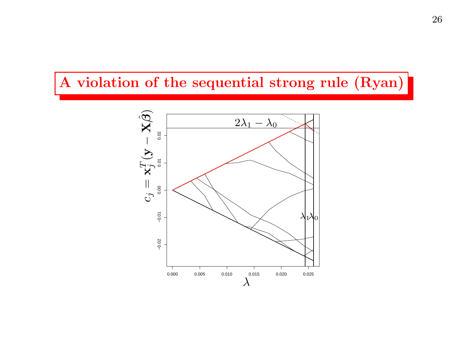#### A violation of the sequential strong rule (Ryan)

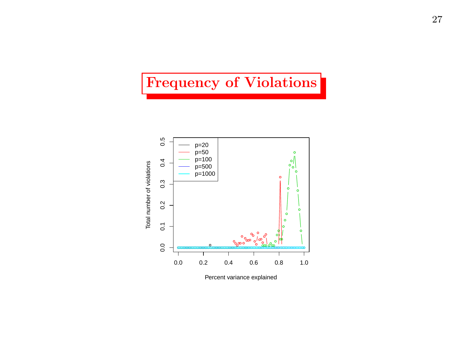#### Frequency of Violations

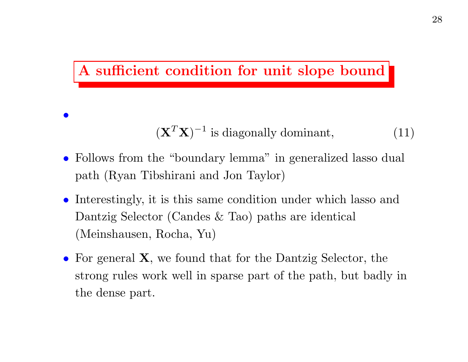#### A sufficient condition for unit slope bound

 $\bullet$ 

 $(X^T X)^{-1}$  is diagonally dominant, (11)

- Follows from the "boundary lemma" in generalized lasso dual path (Ryan Tibshirani and Jon Taylor)
- Interestingly, it is this same condition under which lasso and Dantzig Selector (Candes & Tao) paths are identical (Meinshausen, Rocha, Yu)
- For general **X**, we found that for the Dantzig Selector, the strong rules work well in sparse part of the path, but badly in the dense part.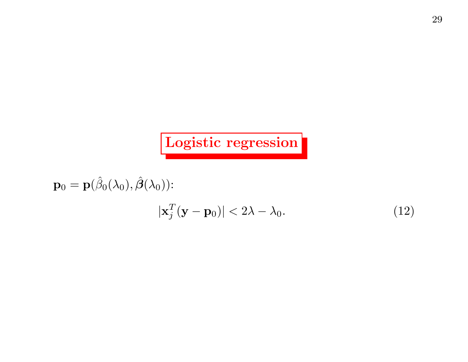## Logistic regression

$$
\mathbf{p}_0 = \mathbf{p}(\hat{\beta}_0(\lambda_0), \hat{\boldsymbol{\beta}}(\lambda_0))
$$

$$
|\mathbf{x}_j^T(\mathbf{y} - \mathbf{p}_0)| < 2\lambda - \lambda_0.
$$
 (12)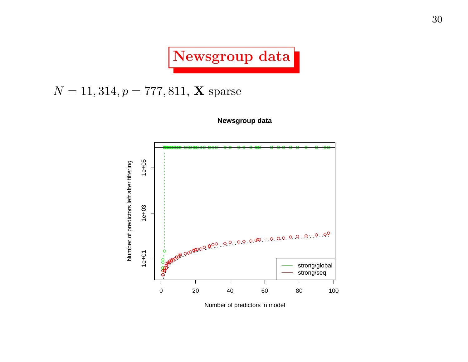Newsgroup data

#### $N = 11, 314, p = 777, 811, X$  sparse





Number of predictors in model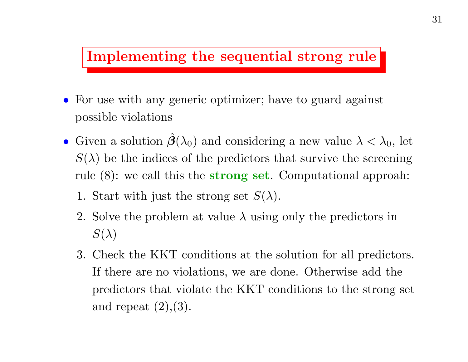#### Implementing the sequential strong rule

- For use with any generic optimizer; have to guard against possible violations
- Given a solution  $\hat{\beta}(\lambda_0)$  and considering a new value  $\lambda < \lambda_0$ , let  $S(\lambda)$  be the indices of the predictors that survive the screening rule (8): we call this the strong set. Computational approah:
	- 1. Start with just the strong set  $S(\lambda)$ .
	- 2. Solve the problem at value  $\lambda$  using only the predictors in  $S(\lambda)$
	- 3. Check the KKT conditions at the solution for all predictors. If there are no violations, we are done. Otherwise add the predictors that violate the KKT conditions to the strong set and repeat  $(2),(3)$ .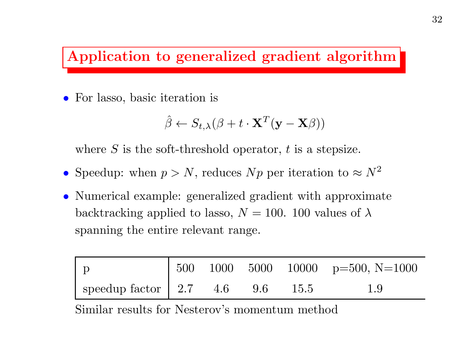#### Application to generalized gradient algorithm

• For lasso, basic iteration is

$$
\hat{\beta} \leftarrow S_{t,\lambda}(\beta + t \cdot \mathbf{X}^T(\mathbf{y} - \mathbf{X}\beta))
$$

where  $S$  is the soft-threshold operator,  $t$  is a stepsize.

- Speedup: when  $p > N$ , reduces Np per iteration to  $\approx N^2$
- Numerical example: generalized gradient with approximate backtracking applied to lasso,  $N = 100$ . 100 values of  $\lambda$ spanning the entire relevant range.

|                                                                                                         |  |  | 500 1000 5000 10000 p=500, N=1000 |
|---------------------------------------------------------------------------------------------------------|--|--|-----------------------------------|
| $\frac{1}{2}$ speedup factor $\left( \frac{2.7}{2.7} \right)$ 4.6 $\left( \frac{9.6}{2.5} \right)$ 15.5 |  |  | 1.9                               |

Similar results for Nesterov's momentum method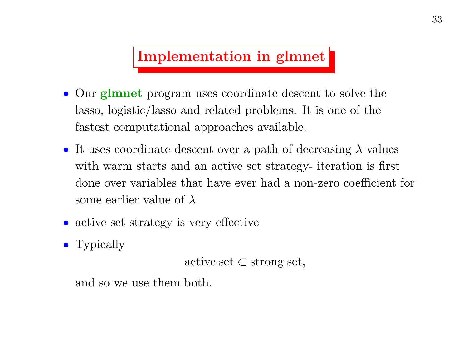### Implementation in glmnet

- Our **glmnet** program uses coordinate descent to solve the lasso, logistic/lasso and related problems. It is one of the fastest computational approaches available.
- It uses coordinate descent over a path of decreasing  $\lambda$  values with warm starts and an active set strategy- iteration is first done over variables that have ever had <sup>a</sup> non-zero coefficient for some earlier value of  $\lambda$
- active set strategy is very effective
- Typically

active set  $\subset$  strong set,

and so we use them both.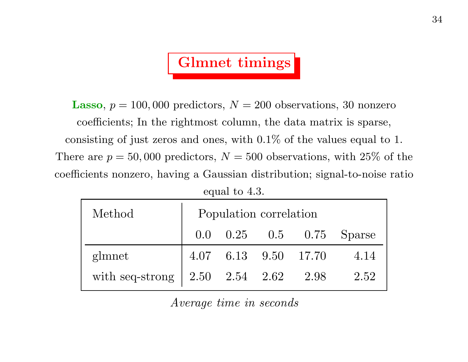# Glmnet timings

**Lasso**,  $p = 100,000$  predictors,  $N = 200$  observations, 30 nonzero coefficients; In the rightmost column, the data matrix is sparse, consisting of just zeros and ones, with 0.1% of the values equal to 1. There are  $p = 50,000$  predictors,  $N = 500$  observations, with 25% of the coefficients nonzero, having a Gaussian distribution; signal-to-noise ratio equal to 4.3.

| Method                                      | Population correlation |  |  |                      |                          |  |
|---------------------------------------------|------------------------|--|--|----------------------|--------------------------|--|
|                                             |                        |  |  |                      | 0.0 0.25 0.5 0.75 Sparse |  |
| glmnet                                      |                        |  |  | 4.07 6.13 9.50 17.70 | 4.14                     |  |
| with seq-strong $\vert$ 2.50 2.54 2.62 2.98 |                        |  |  |                      | 2.52                     |  |

Average time in seconds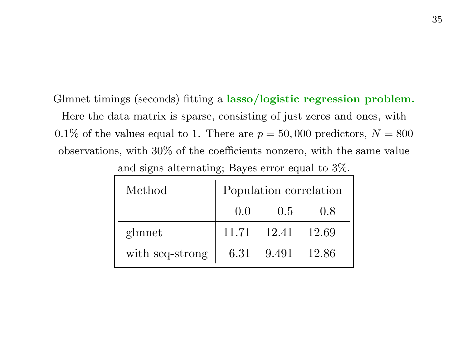Glmnet timings (seconds) fitting <sup>a</sup> lasso/logistic regression problem.

Here the data matrix is sparse, consisting of just zeros and ones, with 0.1% of the values equal to 1. There are  $p = 50,000$  predictors,  $N = 800$ observations, with 30% of the coefficients nonzero, with the same value

| Method          | Population correlation |                  |       |  |  |  |
|-----------------|------------------------|------------------|-------|--|--|--|
|                 | 0.0                    | 0.5              | 0.8   |  |  |  |
| glmnet          |                        | 11.71 12.41      | 12.69 |  |  |  |
| with seq-strong |                        | 6.31 9.491 12.86 |       |  |  |  |

and signs alternating; Bayes error equal to 3%.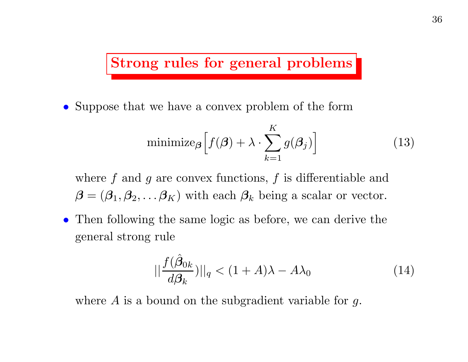#### Strong rules for general problems

• Suppose that we have a convex problem of the form

$$
\text{minimize}_{\boldsymbol{\beta}} \left[ f(\boldsymbol{\beta}) + \lambda \cdot \sum_{k=1}^{K} g(\boldsymbol{\beta}_j) \right]
$$
 (13)

where  $f$  and  $g$  are convex functions,  $f$  is differentiable and  $\boldsymbol{\beta} = (\beta_1, \beta_2, \dots \beta_K)$  with each  $\beta_k$  being a scalar or vector.

• Then following the same logic as before, we can derive the general strong rule

$$
||\frac{f(\hat{\beta}_{0k})}{d\beta_k}||_q < (1+A)\lambda - A\lambda_0
$$
\n(14)

where  $A$  is a bound on the subgradient variable for  $g$ .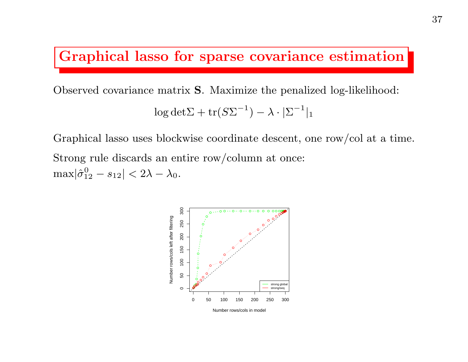#### Graphical lasso for sparse covariance estimation

37

Observed covariance matrix S. Maximize the penalized log-likelihood:

$$
\log \det \Sigma + \operatorname{tr}(S\Sigma^{-1}) - \lambda \cdot |\Sigma^{-1}|_1
$$

Graphical lasso uses blockwise coordinate descent, one row/col at <sup>a</sup> time. Strong rule discards an entire row/column at once:  $\max|\hat{\sigma}_{12}^0 - s_{12}| < 2\lambda - \lambda_0.$ 

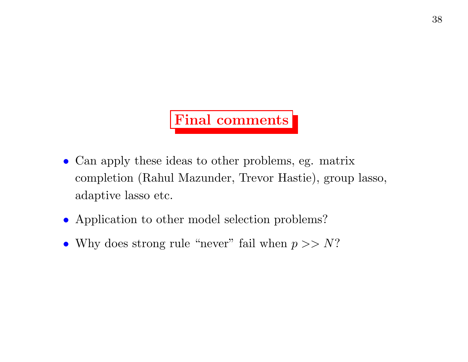#### Final comments

- Can apply these ideas to other problems, eg. matrix completion (Rahul Mazunder, Trevor Hastie), group lasso, adaptive lasso etc.
- Application to other model selection problems?
- Why does strong rule "never" fail when  $p >> N$ ?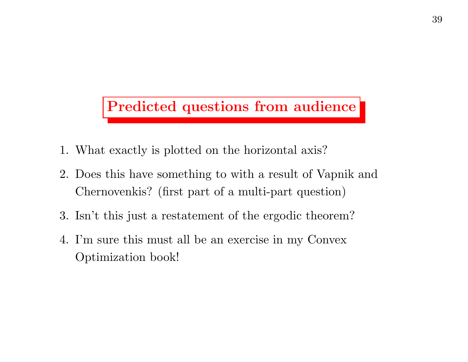#### Predicted questions from audience

- 1. What exactly is plotted on the horizontal axis?
- 2. Does this have something to with a result of Vapnik and Chernovenkis? (first part of <sup>a</sup> multi-part question)
- 3. Isn't this just a restatement of the ergodic theorem?
- 4. I'm sure this must all be an exercise in my Convex Optimization book!